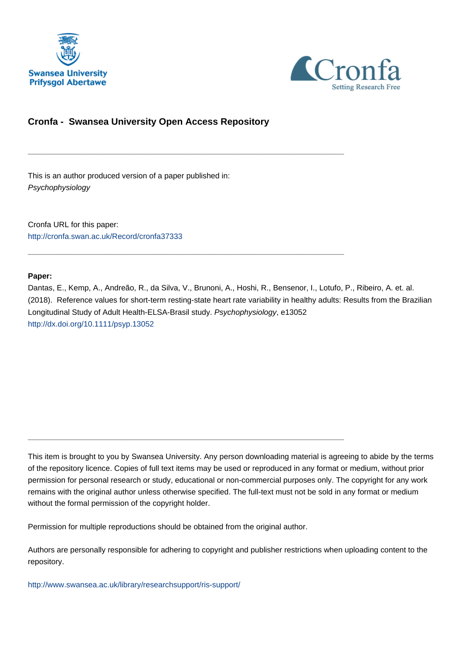



# **Cronfa - Swansea University Open Access Repository**

\_\_\_\_\_\_\_\_\_\_\_\_\_\_\_\_\_\_\_\_\_\_\_\_\_\_\_\_\_\_\_\_\_\_\_\_\_\_\_\_\_\_\_\_\_\_\_\_\_\_\_\_\_\_\_\_\_\_\_\_\_

\_\_\_\_\_\_\_\_\_\_\_\_\_\_\_\_\_\_\_\_\_\_\_\_\_\_\_\_\_\_\_\_\_\_\_\_\_\_\_\_\_\_\_\_\_\_\_\_\_\_\_\_\_\_\_\_\_\_\_\_\_

This is an author produced version of a paper published in: Psychophysiology

Cronfa URL for this paper: <http://cronfa.swan.ac.uk/Record/cronfa37333>

### **Paper:**

Dantas, E., Kemp, A., Andreão, R., da Silva, V., Brunoni, A., Hoshi, R., Bensenor, I., Lotufo, P., Ribeiro, A. et. al. (2018). Reference values for short-term resting-state heart rate variability in healthy adults: Results from the Brazilian Longitudinal Study of Adult Health-ELSA-Brasil study. Psychophysiology, e13052 <http://dx.doi.org/10.1111/psyp.13052>

This item is brought to you by Swansea University. Any person downloading material is agreeing to abide by the terms of the repository licence. Copies of full text items may be used or reproduced in any format or medium, without prior permission for personal research or study, educational or non-commercial purposes only. The copyright for any work remains with the original author unless otherwise specified. The full-text must not be sold in any format or medium without the formal permission of the copyright holder.

Permission for multiple reproductions should be obtained from the original author.

\_\_\_\_\_\_\_\_\_\_\_\_\_\_\_\_\_\_\_\_\_\_\_\_\_\_\_\_\_\_\_\_\_\_\_\_\_\_\_\_\_\_\_\_\_\_\_\_\_\_\_\_\_\_\_\_\_\_\_\_\_

Authors are personally responsible for adhering to copyright and publisher restrictions when uploading content to the repository.

[http://www.swansea.ac.uk/library/researchsupport/ris-support/](http://www.swansea.ac.uk/library/researchsupport/ris-support/ )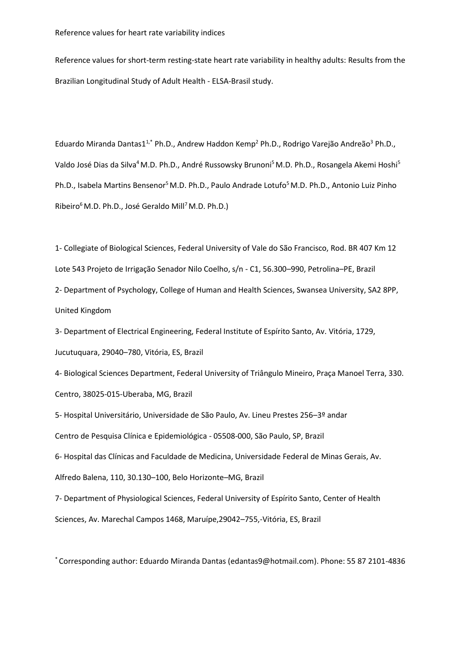Reference values for short-term resting-state heart rate variability in healthy adults: Results from the Brazilian Longitudinal Study of Adult Health - ELSA-Brasil study.

Eduardo Miranda Dantas1<sup>1,\*</sup> Ph.D., Andrew Haddon Kemp<sup>2</sup> Ph.D., Rodrigo Varejão Andreão<sup>3</sup> Ph.D., Valdo José Dias da Silva<sup>4</sup> M.D. Ph.D., André Russowsky Brunoni<sup>5</sup> M.D. Ph.D., Rosangela Akemi Hoshi<sup>5</sup> Ph.D., Isabela Martins Bensenor<sup>5</sup> M.D. Ph.D., Paulo Andrade Lotufo<sup>5</sup> M.D. Ph.D., Antonio Luiz Pinho Ribeiro<sup>6</sup> M.D. Ph.D., José Geraldo Mill<sup>7</sup> M.D. Ph.D.)

1- Collegiate of Biological Sciences, Federal University of Vale do São Francisco, Rod. BR 407 Km 12 Lote 543 Projeto de Irrigação Senador Nilo Coelho, s/n - C1, 56.300–990, Petrolina–PE, Brazil

2- Department of Psychology, College of Human and Health Sciences, Swansea University, SA2 8PP, United Kingdom

3- Department of Electrical Engineering, Federal Institute of Espírito Santo, Av. Vitória, 1729, Jucutuquara, 29040–780, Vitória, ES, Brazil

4- Biological Sciences Department, Federal University of Triângulo Mineiro, Praça Manoel Terra, 330. Centro, 38025-015-Uberaba, MG, Brazil

5- Hospital Universitário, Universidade de São Paulo, Av. Lineu Prestes 256–3º andar

Centro de Pesquisa Clínica e Epidemiológica - 05508-000, São Paulo, SP, Brazil

6- Hospital das Clínicas and Faculdade de Medicina, Universidade Federal de Minas Gerais, Av.

Alfredo Balena, 110, 30.130–100, Belo Horizonte–MG, Brazil

7- Department of Physiological Sciences, Federal University of Espírito Santo, Center of Health

Sciences, Av. Marechal Campos 1468, Maruípe,29042–755,-Vitória, ES, Brazil

\* Corresponding author: Eduardo Miranda Dantas (edantas9@hotmail.com). Phone: 55 87 2101-4836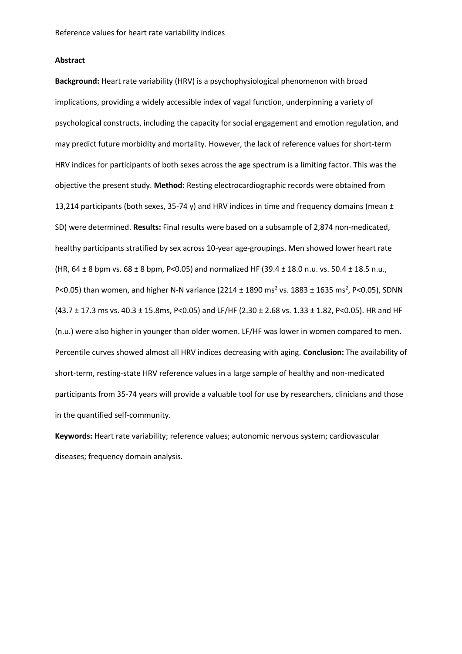### **Abstract**

**Background:** Heart rate variability (HRV) is a psychophysiological phenomenon with broad implications, providing a widely accessible index of vagal function, underpinning a variety of psychological constructs, including the capacity for social engagement and emotion regulation, and may predict future morbidity and mortality. However, the lack of reference values for short-term HRV indices for participants of both sexes across the age spectrum is a limiting factor. This was the objective the present study. **Method:** Resting electrocardiographic records were obtained from 13,214 participants (both sexes, 35-74 y) and HRV indices in time and frequency domains (mean  $\pm$ SD) were determined. **Results:** Final results were based on a subsample of 2,874 non-medicated, healthy participants stratified by sex across 10-year age-groupings. Men showed lower heart rate (HR,  $64 \pm 8$  bpm vs.  $68 \pm 8$  bpm, P<0.05) and normalized HF (39.4  $\pm$  18.0 n.u. vs. 50.4  $\pm$  18.5 n.u., P<0.05) than women, and higher N-N variance (2214  $\pm$  1890 ms<sup>2</sup> vs. 1883  $\pm$  1635 ms<sup>2</sup>, P<0.05), SDNN (43.7 ± 17.3 ms vs. 40.3 ± 15.8ms, P<0.05) and LF/HF (2.30 ± 2.68 vs. 1.33 ± 1.82, P<0.05). HR and HF (n.u.) were also higher in younger than older women. LF/HF was lower in women compared to men. Percentile curves showed almost all HRV indices decreasing with aging. **Conclusion:** The availability of short-term, resting-state HRV reference values in a large sample of healthy and non-medicated participants from 35-74 years will provide a valuable tool for use by researchers, clinicians and those in the quantified self-community.

**Keywords:** Heart rate variability; reference values; autonomic nervous system; cardiovascular diseases; frequency domain analysis.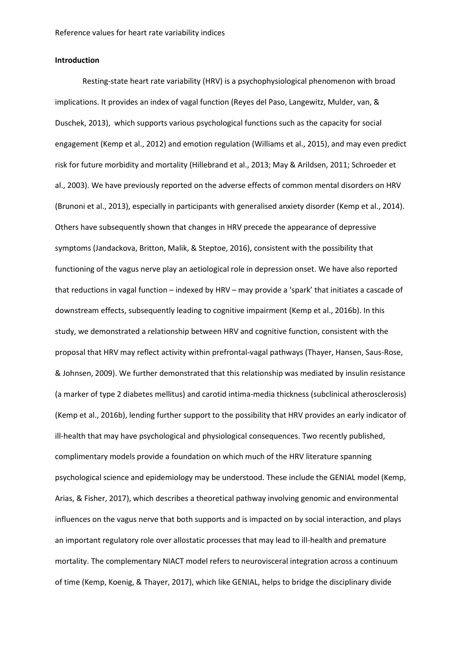### **Introduction**

Resting-state heart rate variability (HRV) is a psychophysiological phenomenon with broad implications. It provides an index of vagal function (Reyes del Paso, Langewitz, Mulder, van, & Duschek, 2013), which supports various psychological functions such as the capacity for social engagement (Kemp et al., 2012) and emotion regulation (Williams et al., 2015), and may even predict risk for future morbidity and mortality (Hillebrand et al., 2013; May & Arildsen, 2011; Schroeder et al., 2003). We have previously reported on the adverse effects of common mental disorders on HRV (Brunoni et al., 2013), especially in participants with generalised anxiety disorder (Kemp et al., 2014). Others have subsequently shown that changes in HRV precede the appearance of depressive symptoms (Jandackova, Britton, Malik, & Steptoe, 2016), consistent with the possibility that functioning of the vagus nerve play an aetiological role in depression onset. We have also reported that reductions in vagal function – indexed by HRV – may provide a 'spark' that initiates a cascade of downstream effects, subsequently leading to cognitive impairment (Kemp et al., 2016b). In this study, we demonstrated a relationship between HRV and cognitive function, consistent with the proposal that HRV may reflect activity within prefrontal-vagal pathways (Thayer, Hansen, Saus-Rose, & Johnsen, 2009). We further demonstrated that this relationship was mediated by insulin resistance (a marker of type 2 diabetes mellitus) and carotid intima-media thickness (subclinical atherosclerosis) (Kemp et al., 2016b), lending further support to the possibility that HRV provides an early indicator of ill-health that may have psychological and physiological consequences. Two recently published, complimentary models provide a foundation on which much of the HRV literature spanning psychological science and epidemiology may be understood. These include the GENIAL model (Kemp, Arias, & Fisher, 2017), which describes a theoretical pathway involving genomic and environmental influences on the vagus nerve that both supports and is impacted on by social interaction, and plays an important regulatory role over allostatic processes that may lead to ill-health and premature mortality. The complementary NIACT model refers to neurovisceral integration across a continuum of time (Kemp, Koenig, & Thayer, 2017), which like GENIAL, helps to bridge the disciplinary divide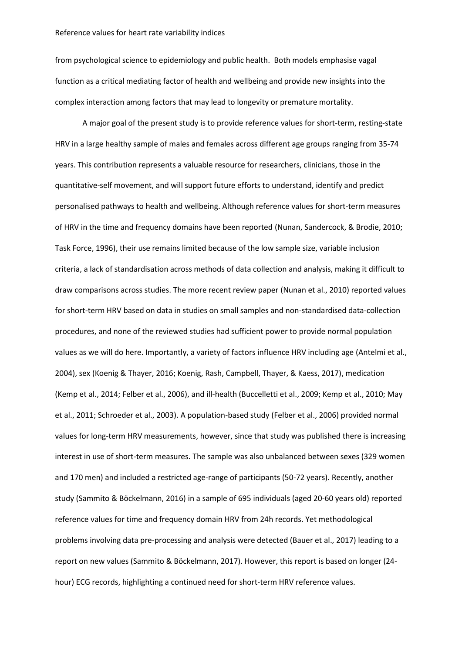from psychological science to epidemiology and public health. Both models emphasise vagal function as a critical mediating factor of health and wellbeing and provide new insights into the complex interaction among factors that may lead to longevity or premature mortality.

A major goal of the present study is to provide reference values for short-term, resting-state HRV in a large healthy sample of males and females across different age groups ranging from 35-74 years. This contribution represents a valuable resource for researchers, clinicians, those in the quantitative-self movement, and will support future efforts to understand, identify and predict personalised pathways to health and wellbeing. Although reference values for short-term measures of HRV in the time and frequency domains have been reported (Nunan, Sandercock, & Brodie, 2010; Task Force, 1996), their use remains limited because of the low sample size, variable inclusion criteria, a lack of standardisation across methods of data collection and analysis, making it difficult to draw comparisons across studies. The more recent review paper (Nunan et al., 2010) reported values for short-term HRV based on data in studies on small samples and non-standardised data-collection procedures, and none of the reviewed studies had sufficient power to provide normal population values as we will do here. Importantly, a variety of factors influence HRV including age (Antelmi et al., 2004), sex (Koenig & Thayer, 2016; Koenig, Rash, Campbell, Thayer, & Kaess, 2017), medication (Kemp et al., 2014; Felber et al., 2006), and ill-health (Buccelletti et al., 2009; Kemp et al., 2010; May et al., 2011; Schroeder et al., 2003). A population-based study (Felber et al., 2006) provided normal values for long-term HRV measurements, however, since that study was published there is increasing interest in use of short-term measures. The sample was also unbalanced between sexes (329 women and 170 men) and included a restricted age-range of participants (50-72 years). Recently, another study (Sammito & Böckelmann, 2016) in a sample of 695 individuals (aged 20-60 years old) reported reference values for time and frequency domain HRV from 24h records. Yet methodological problems involving data pre-processing and analysis were detected (Bauer et al., 2017) leading to a report on new values (Sammito & Böckelmann, 2017). However, this report is based on longer (24 hour) ECG records, highlighting a continued need for short-term HRV reference values.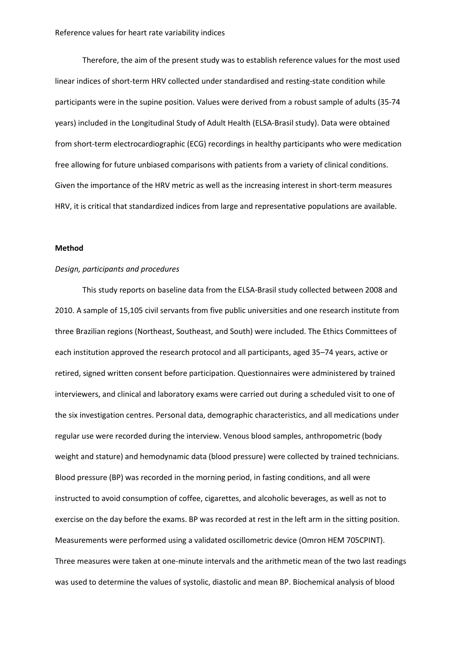Therefore, the aim of the present study was to establish reference values for the most used linear indices of short-term HRV collected under standardised and resting-state condition while participants were in the supine position. Values were derived from a robust sample of adults (35-74 years) included in the Longitudinal Study of Adult Health (ELSA-Brasil study). Data were obtained from short-term electrocardiographic (ECG) recordings in healthy participants who were medication free allowing for future unbiased comparisons with patients from a variety of clinical conditions. Given the importance of the HRV metric as well as the increasing interest in short-term measures HRV, it is critical that standardized indices from large and representative populations are available.

### **Method**

### *Design, participants and procedures*

This study reports on baseline data from the ELSA-Brasil study collected between 2008 and 2010. A sample of 15,105 civil servants from five public universities and one research institute from three Brazilian regions (Northeast, Southeast, and South) were included. The Ethics Committees of each institution approved the research protocol and all participants, aged 35–74 years, active or retired, signed written consent before participation. Questionnaires were administered by trained interviewers, and clinical and laboratory exams were carried out during a scheduled visit to one of the six investigation centres. Personal data, demographic characteristics, and all medications under regular use were recorded during the interview. Venous blood samples, anthropometric (body weight and stature) and hemodynamic data (blood pressure) were collected by trained technicians. Blood pressure (BP) was recorded in the morning period, in fasting conditions, and all were instructed to avoid consumption of coffee, cigarettes, and alcoholic beverages, as well as not to exercise on the day before the exams. BP was recorded at rest in the left arm in the sitting position. Measurements were performed using a validated oscillometric device (Omron HEM 705CPINT). Three measures were taken at one-minute intervals and the arithmetic mean of the two last readings was used to determine the values of systolic, diastolic and mean BP. Biochemical analysis of blood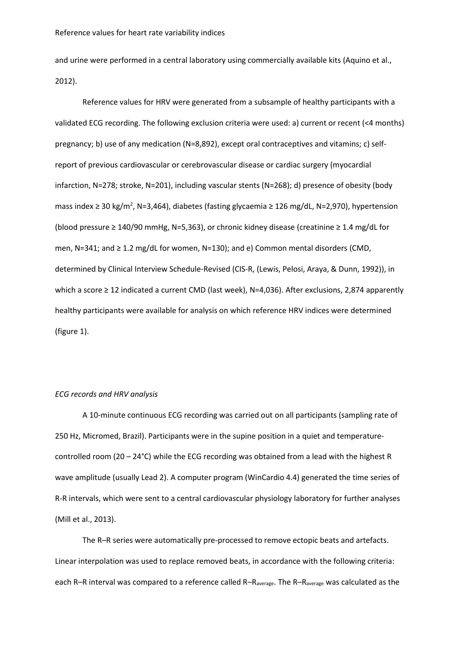and urine were performed in a central laboratory using commercially available kits (Aquino et al., 2012).

Reference values for HRV were generated from a subsample of healthy participants with a validated ECG recording. The following exclusion criteria were used: a) current or recent (<4 months) pregnancy; b) use of any medication (N=8,892), except oral contraceptives and vitamins; c) selfreport of previous cardiovascular or cerebrovascular disease or cardiac surgery (myocardial infarction, N=278; stroke, N=201), including vascular stents (N=268); d) presence of obesity (body mass index ≥ 30 kg/m<sup>2</sup>, N=3,464), diabetes (fasting glycaemia ≥ 126 mg/dL, N=2,970), hypertension (blood pressure ≥ 140/90 mmHg, N=5,363), or chronic kidney disease (creatinine ≥ 1.4 mg/dL for men, N=341; and ≥ 1.2 mg/dL for women, N=130); and e) Common mental disorders (CMD, determined by Clinical Interview Schedule-Revised (CIS-R, (Lewis, Pelosi, Araya, & Dunn, 1992)), in which a score ≥ 12 indicated a current CMD (last week), N=4,036). After exclusions, 2,874 apparently healthy participants were available for analysis on which reference HRV indices were determined (figure 1).

### *ECG records and HRV analysis*

A 10-minute continuous ECG recording was carried out on all participants (sampling rate of 250 Hz, Micromed, Brazil). Participants were in the supine position in a quiet and temperaturecontrolled room (20 – 24°C) while the ECG recording was obtained from a lead with the highest R wave amplitude (usually Lead 2). A computer program (WinCardio 4.4) generated the time series of R-R intervals, which were sent to a central cardiovascular physiology laboratory for further analyses (Mill et al., 2013).

The R–R series were automatically pre-processed to remove ectopic beats and artefacts. Linear interpolation was used to replace removed beats, in accordance with the following criteria: each R–R interval was compared to a reference called R– $R_{average}$ . The R– $R_{average}$  was calculated as the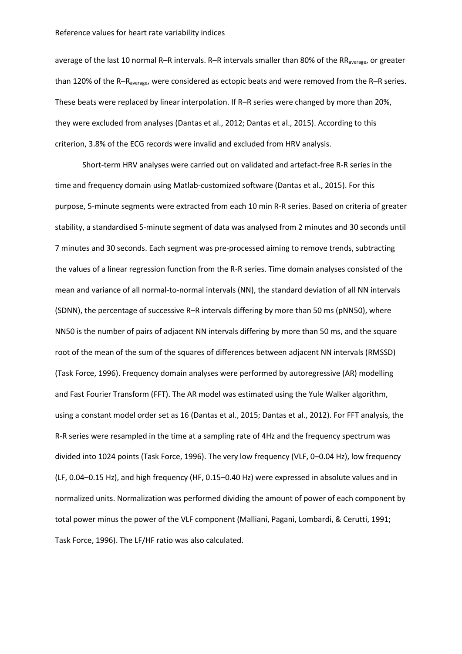average of the last 10 normal R–R intervals. R–R intervals smaller than 80% of the RR<sub>average</sub>, or greater than 120% of the R–R<sub>average</sub>, were considered as ectopic beats and were removed from the R–R series. These beats were replaced by linear interpolation. If R–R series were changed by more than 20%, they were excluded from analyses (Dantas et al., 2012; Dantas et al., 2015). According to this criterion, 3.8% of the ECG records were invalid and excluded from HRV analysis.

Short-term HRV analyses were carried out on validated and artefact-free R-R series in the time and frequency domain using Matlab-customized software (Dantas et al., 2015). For this purpose, 5-minute segments were extracted from each 10 min R-R series. Based on criteria of greater stability, a standardised 5-minute segment of data was analysed from 2 minutes and 30 seconds until 7 minutes and 30 seconds. Each segment was pre-processed aiming to remove trends, subtracting the values of a linear regression function from the R-R series. Time domain analyses consisted of the mean and variance of all normal-to-normal intervals (NN), the standard deviation of all NN intervals (SDNN), the percentage of successive R–R intervals differing by more than 50 ms (pNN50), where NN50 is the number of pairs of adjacent NN intervals differing by more than 50 ms, and the square root of the mean of the sum of the squares of differences between adjacent NN intervals (RMSSD) (Task Force, 1996). Frequency domain analyses were performed by autoregressive (AR) modelling and Fast Fourier Transform (FFT). The AR model was estimated using the Yule Walker algorithm, using a constant model order set as 16 (Dantas et al., 2015; Dantas et al., 2012). For FFT analysis, the R-R series were resampled in the time at a sampling rate of 4Hz and the frequency spectrum was divided into 1024 points (Task Force, 1996). The very low frequency (VLF, 0–0.04 Hz), low frequency (LF, 0.04–0.15 Hz), and high frequency (HF, 0.15–0.40 Hz) were expressed in absolute values and in normalized units. Normalization was performed dividing the amount of power of each component by total power minus the power of the VLF component (Malliani, Pagani, Lombardi, & Cerutti, 1991; Task Force, 1996). The LF/HF ratio was also calculated.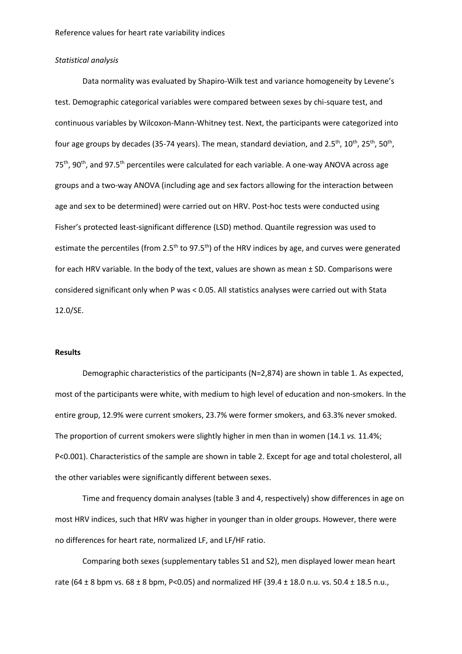### *Statistical analysis*

Data normality was evaluated by Shapiro-Wilk test and variance homogeneity by Levene's test. Demographic categorical variables were compared between sexes by chi-square test, and continuous variables by Wilcoxon-Mann-Whitney test. Next, the participants were categorized into four age groups by decades (35-74 years). The mean, standard deviation, and 2.5<sup>th</sup>, 10<sup>th</sup>, 25<sup>th</sup>, 50<sup>th</sup>, 75<sup>th</sup>, 90<sup>th</sup>, and 97.5<sup>th</sup> percentiles were calculated for each variable. A one-way ANOVA across age groups and a two-way ANOVA (including age and sex factors allowing for the interaction between age and sex to be determined) were carried out on HRV. Post-hoc tests were conducted using Fisher's protected least-significant difference (LSD) method. Quantile regression was used to estimate the percentiles (from 2.5<sup>th</sup> to 97.5<sup>th</sup>) of the HRV indices by age, and curves were generated for each HRV variable. In the body of the text, values are shown as mean ± SD. Comparisons were considered significant only when P was < 0.05. All statistics analyses were carried out with Stata 12.0/SE.

### **Results**

Demographic characteristics of the participants (N=2,874) are shown in table 1. As expected, most of the participants were white, with medium to high level of education and non-smokers. In the entire group, 12.9% were current smokers, 23.7% were former smokers, and 63.3% never smoked. The proportion of current smokers were slightly higher in men than in women (14.1 *vs.* 11.4%; P<0.001). Characteristics of the sample are shown in table 2. Except for age and total cholesterol, all the other variables were significantly different between sexes.

Time and frequency domain analyses (table 3 and 4, respectively) show differences in age on most HRV indices, such that HRV was higher in younger than in older groups. However, there were no differences for heart rate, normalized LF, and LF/HF ratio.

Comparing both sexes (supplementary tables S1 and S2), men displayed lower mean heart rate (64  $\pm$  8 bpm vs. 68  $\pm$  8 bpm, P<0.05) and normalized HF (39.4  $\pm$  18.0 n.u. vs. 50.4  $\pm$  18.5 n.u.,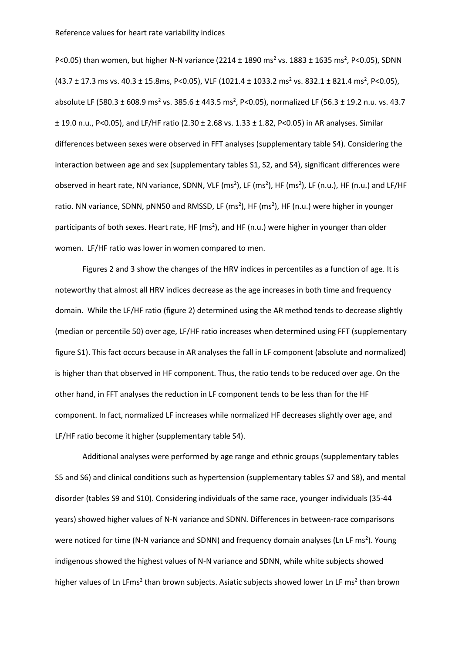P<0.05) than women, but higher N-N variance (2214  $\pm$  1890 ms<sup>2</sup> vs. 1883  $\pm$  1635 ms<sup>2</sup>, P<0.05), SDNN  $(43.7 \pm 17.3 \text{ ms vs. } 40.3 \pm 15.8 \text{ ms}, \text{ P}<0.05)$ , VLF  $(1021.4 \pm 1033.2 \text{ ms}^2 \text{ vs. } 832.1 \pm 821.4 \text{ ms}^2, \text{ P}<0.05)$ , absolute LF (580.3 ± 608.9 ms<sup>2</sup> vs. 385.6 ± 443.5 ms<sup>2</sup>, P<0.05), normalized LF (56.3 ± 19.2 n.u. vs. 43.7 ± 19.0 n.u., P<0.05), and LF/HF ratio (2.30 ± 2.68 vs. 1.33 ± 1.82, P<0.05) in AR analyses. Similar differences between sexes were observed in FFT analyses (supplementary table S4). Considering the interaction between age and sex (supplementary tables S1, S2, and S4), significant differences were observed in heart rate, NN variance, SDNN, VLF (ms<sup>2</sup>), LF (ms<sup>2</sup>), HF (ms<sup>2</sup>), LF (n.u.), HF (n.u.) and LF/HF ratio. NN variance, SDNN, pNN50 and RMSSD, LF (ms<sup>2</sup>), HF (ms<sup>2</sup>), HF (n.u.) were higher in younger participants of both sexes. Heart rate, HF (ms<sup>2</sup>), and HF (n.u.) were higher in younger than older women. LF/HF ratio was lower in women compared to men.

Figures 2 and 3 show the changes of the HRV indices in percentiles as a function of age. It is noteworthy that almost all HRV indices decrease as the age increases in both time and frequency domain. While the LF/HF ratio (figure 2) determined using the AR method tends to decrease slightly (median or percentile 50) over age, LF/HF ratio increases when determined using FFT (supplementary figure S1). This fact occurs because in AR analyses the fall in LF component (absolute and normalized) is higher than that observed in HF component. Thus, the ratio tends to be reduced over age. On the other hand, in FFT analyses the reduction in LF component tends to be less than for the HF component. In fact, normalized LF increases while normalized HF decreases slightly over age, and LF/HF ratio become it higher (supplementary table S4).

Additional analyses were performed by age range and ethnic groups (supplementary tables S5 and S6) and clinical conditions such as hypertension (supplementary tables S7 and S8), and mental disorder (tables S9 and S10). Considering individuals of the same race, younger individuals (35-44 years) showed higher values of N-N variance and SDNN. Differences in between-race comparisons were noticed for time (N-N variance and SDNN) and frequency domain analyses (Ln LF ms<sup>2</sup>). Young indigenous showed the highest values of N-N variance and SDNN, while white subjects showed higher values of Ln LFms<sup>2</sup> than brown subjects. Asiatic subjects showed lower Ln LF ms<sup>2</sup> than brown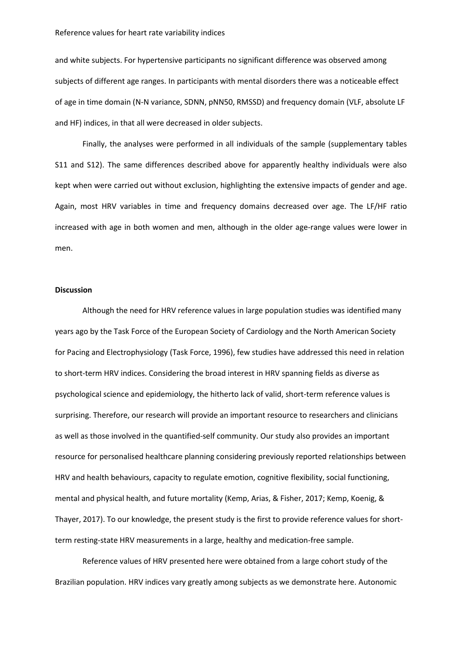and white subjects. For hypertensive participants no significant difference was observed among subjects of different age ranges. In participants with mental disorders there was a noticeable effect of age in time domain (N-N variance, SDNN, pNN50, RMSSD) and frequency domain (VLF, absolute LF and HF) indices, in that all were decreased in older subjects.

Finally, the analyses were performed in all individuals of the sample (supplementary tables S11 and S12). The same differences described above for apparently healthy individuals were also kept when were carried out without exclusion, highlighting the extensive impacts of gender and age. Again, most HRV variables in time and frequency domains decreased over age. The LF/HF ratio increased with age in both women and men, although in the older age-range values were lower in men.

### **Discussion**

Although the need for HRV reference values in large population studies was identified many years ago by the Task Force of the European Society of Cardiology and the North American Society for Pacing and Electrophysiology (Task Force, 1996), few studies have addressed this need in relation to short-term HRV indices. Considering the broad interest in HRV spanning fields as diverse as psychological science and epidemiology, the hitherto lack of valid, short-term reference values is surprising. Therefore, our research will provide an important resource to researchers and clinicians as well as those involved in the quantified-self community. Our study also provides an important resource for personalised healthcare planning considering previously reported relationships between HRV and health behaviours, capacity to regulate emotion, cognitive flexibility, social functioning, mental and physical health, and future mortality (Kemp, Arias, & Fisher, 2017; Kemp, Koenig, & Thayer, 2017). To our knowledge, the present study is the first to provide reference values for shortterm resting-state HRV measurements in a large, healthy and medication-free sample.

Reference values of HRV presented here were obtained from a large cohort study of the Brazilian population. HRV indices vary greatly among subjects as we demonstrate here. Autonomic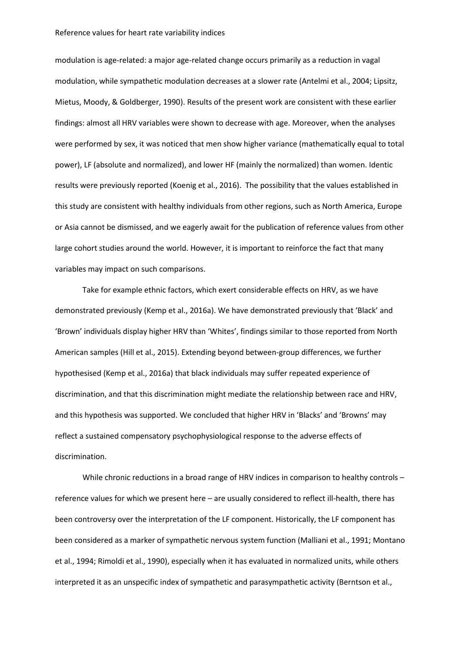modulation is age-related: a major age-related change occurs primarily as a reduction in vagal modulation, while sympathetic modulation decreases at a slower rate (Antelmi et al., 2004; Lipsitz, Mietus, Moody, & Goldberger, 1990). Results of the present work are consistent with these earlier findings: almost all HRV variables were shown to decrease with age. Moreover, when the analyses were performed by sex, it was noticed that men show higher variance (mathematically equal to total power), LF (absolute and normalized), and lower HF (mainly the normalized) than women. Identic results were previously reported (Koenig et al., 2016). The possibility that the values established in this study are consistent with healthy individuals from other regions, such as North America, Europe or Asia cannot be dismissed, and we eagerly await for the publication of reference values from other large cohort studies around the world. However, it is important to reinforce the fact that many variables may impact on such comparisons.

Take for example ethnic factors, which exert considerable effects on HRV, as we have demonstrated previously (Kemp et al., 2016a). We have demonstrated previously that 'Black' and 'Brown' individuals display higher HRV than 'Whites', findings similar to those reported from North American samples (Hill et al., 2015). Extending beyond between-group differences, we further hypothesised (Kemp et al., 2016a) that black individuals may suffer repeated experience of discrimination, and that this discrimination might mediate the relationship between race and HRV, and this hypothesis was supported. We concluded that higher HRV in 'Blacks' and 'Browns' may reflect a sustained compensatory psychophysiological response to the adverse effects of discrimination.

While chronic reductions in a broad range of HRV indices in comparison to healthy controls reference values for which we present here – are usually considered to reflect ill-health, there has been controversy over the interpretation of the LF component. Historically, the LF component has been considered as a marker of sympathetic nervous system function (Malliani et al., 1991; Montano et al., 1994; Rimoldi et al., 1990), especially when it has evaluated in normalized units, while others interpreted it as an unspecific index of sympathetic and parasympathetic activity (Berntson et al.,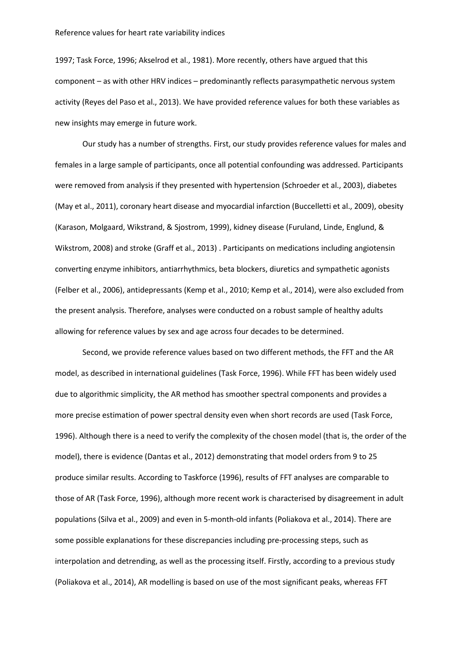1997; Task Force, 1996; Akselrod et al., 1981). More recently, others have argued that this component – as with other HRV indices – predominantly reflects parasympathetic nervous system activity (Reyes del Paso et al., 2013). We have provided reference values for both these variables as new insights may emerge in future work.

Our study has a number of strengths. First, our study provides reference values for males and females in a large sample of participants, once all potential confounding was addressed. Participants were removed from analysis if they presented with hypertension (Schroeder et al., 2003), diabetes (May et al., 2011), coronary heart disease and myocardial infarction (Buccelletti et al., 2009), obesity (Karason, Molgaard, Wikstrand, & Sjostrom, 1999), kidney disease (Furuland, Linde, Englund, & Wikstrom, 2008) and stroke (Graff et al., 2013) . Participants on medications including angiotensin converting enzyme inhibitors, antiarrhythmics, beta blockers, diuretics and sympathetic agonists (Felber et al., 2006), antidepressants (Kemp et al., 2010; Kemp et al., 2014), were also excluded from the present analysis. Therefore, analyses were conducted on a robust sample of healthy adults allowing for reference values by sex and age across four decades to be determined.

Second, we provide reference values based on two different methods, the FFT and the AR model, as described in international guidelines (Task Force, 1996). While FFT has been widely used due to algorithmic simplicity, the AR method has smoother spectral components and provides a more precise estimation of power spectral density even when short records are used (Task Force, 1996). Although there is a need to verify the complexity of the chosen model (that is, the order of the model), there is evidence (Dantas et al., 2012) demonstrating that model orders from 9 to 25 produce similar results. According to Taskforce (1996), results of FFT analyses are comparable to those of AR (Task Force, 1996), although more recent work is characterised by disagreement in adult populations (Silva et al., 2009) and even in 5-month-old infants (Poliakova et al., 2014). There are some possible explanations for these discrepancies including pre-processing steps, such as interpolation and detrending, as well as the processing itself. Firstly, according to a previous study (Poliakova et al., 2014), AR modelling is based on use of the most significant peaks, whereas FFT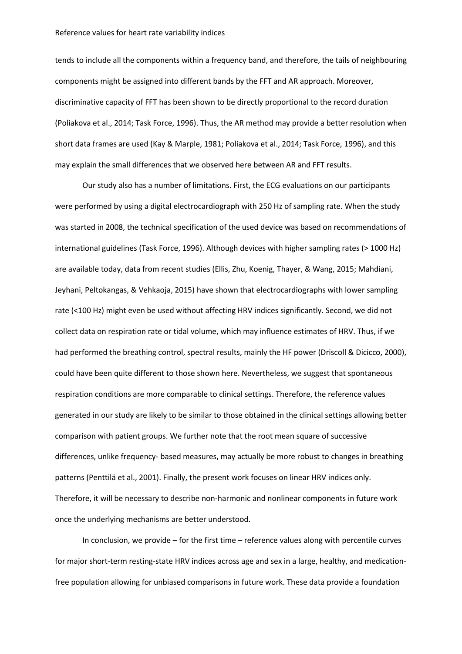tends to include all the components within a frequency band, and therefore, the tails of neighbouring components might be assigned into different bands by the FFT and AR approach. Moreover, discriminative capacity of FFT has been shown to be directly proportional to the record duration (Poliakova et al., 2014; Task Force, 1996). Thus, the AR method may provide a better resolution when short data frames are used (Kay & Marple, 1981; Poliakova et al., 2014; Task Force, 1996), and this may explain the small differences that we observed here between AR and FFT results.

Our study also has a number of limitations. First, the ECG evaluations on our participants were performed by using a digital electrocardiograph with 250 Hz of sampling rate. When the study was started in 2008, the technical specification of the used device was based on recommendations of international guidelines (Task Force, 1996). Although devices with higher sampling rates (> 1000 Hz) are available today, data from recent studies (Ellis, Zhu, Koenig, Thayer, & Wang, 2015; Mahdiani, Jeyhani, Peltokangas, & Vehkaoja, 2015) have shown that electrocardiographs with lower sampling rate (<100 Hz) might even be used without affecting HRV indices significantly. Second, we did not collect data on respiration rate or tidal volume, which may influence estimates of HRV. Thus, if we had performed the breathing control, spectral results, mainly the HF power (Driscoll & Dicicco, 2000), could have been quite different to those shown here. Nevertheless, we suggest that spontaneous respiration conditions are more comparable to clinical settings. Therefore, the reference values generated in our study are likely to be similar to those obtained in the clinical settings allowing better comparison with patient groups. We further note that the root mean square of successive differences, unlike frequency- based measures, may actually be more robust to changes in breathing patterns (Penttilä et al., 2001). Finally, the present work focuses on linear HRV indices only. Therefore, it will be necessary to describe non-harmonic and nonlinear components in future work once the underlying mechanisms are better understood.

In conclusion, we provide – for the first time – reference values along with percentile curves for major short-term resting-state HRV indices across age and sex in a large, healthy, and medicationfree population allowing for unbiased comparisons in future work. These data provide a foundation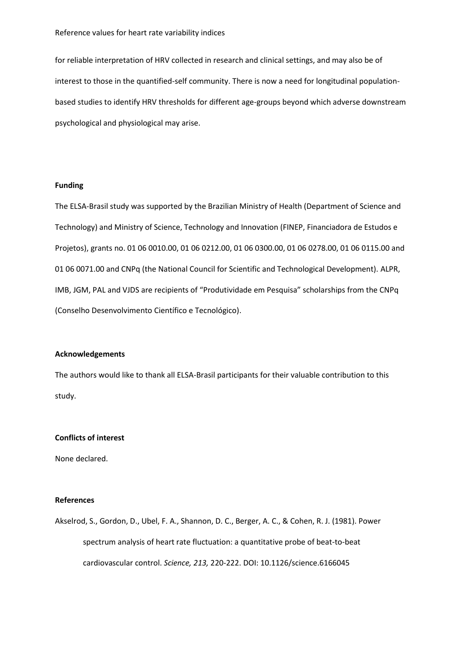for reliable interpretation of HRV collected in research and clinical settings, and may also be of interest to those in the quantified-self community. There is now a need for longitudinal populationbased studies to identify HRV thresholds for different age-groups beyond which adverse downstream psychological and physiological may arise.

### **Funding**

The ELSA-Brasil study was supported by the Brazilian Ministry of Health (Department of Science and Technology) and Ministry of Science, Technology and Innovation (FINEP, Financiadora de Estudos e Projetos), grants no. 01 06 0010.00, 01 06 0212.00, 01 06 0300.00, 01 06 0278.00, 01 06 0115.00 and 01 06 0071.00 and CNPq (the National Council for Scientific and Technological Development). ALPR, IMB, JGM, PAL and VJDS are recipients of "Produtividade em Pesquisa" scholarships from the CNPq (Conselho Desenvolvimento Científico e Tecnológico).

### **Acknowledgements**

The authors would like to thank all ELSA-Brasil participants for their valuable contribution to this study.

## **Conflicts of interest**

None declared.

### **References**

Akselrod, S., Gordon, D., Ubel, F. A., Shannon, D. C., Berger, A. C., & Cohen, R. J. (1981). Power spectrum analysis of heart rate fluctuation: a quantitative probe of beat-to-beat cardiovascular control. *Science, 213,* 220-222. DOI: 10.1126/science.6166045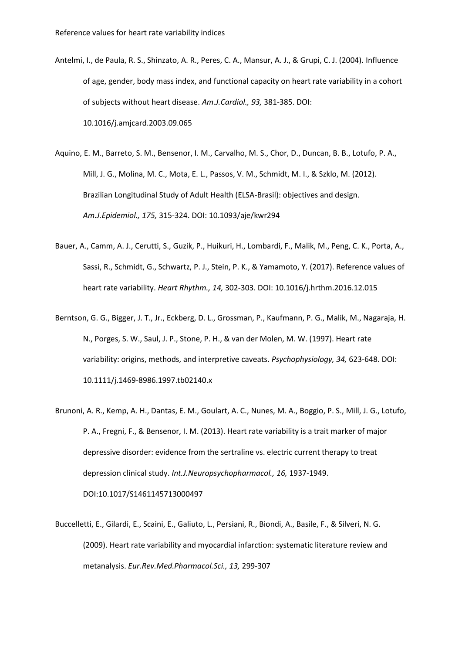- Antelmi, I., de Paula, R. S., Shinzato, A. R., Peres, C. A., Mansur, A. J., & Grupi, C. J. (2004). Influence of age, gender, body mass index, and functional capacity on heart rate variability in a cohort of subjects without heart disease. *Am.J.Cardiol., 93,* 381-385. DOI: 10.1016/j.amjcard.2003.09.065
- Aquino, E. M., Barreto, S. M., Bensenor, I. M., Carvalho, M. S., Chor, D., Duncan, B. B., Lotufo, P. A., Mill, J. G., Molina, M. C., Mota, E. L., Passos, V. M., Schmidt, M. I., & Szklo, M. (2012). Brazilian Longitudinal Study of Adult Health (ELSA-Brasil): objectives and design. *Am.J.Epidemiol., 175,* 315-324. DOI: 10.1093/aje/kwr294
- Bauer, A., Camm, A. J., Cerutti, S., Guzik, P., Huikuri, H., Lombardi, F., Malik, M., Peng, C. K., Porta, A., Sassi, R., Schmidt, G., Schwartz, P. J., Stein, P. K., & Yamamoto, Y. (2017). Reference values of heart rate variability. *Heart Rhythm., 14,* 302-303. DOI: 10.1016/j.hrthm.2016.12.015
- Berntson, G. G., Bigger, J. T., Jr., Eckberg, D. L., Grossman, P., Kaufmann, P. G., Malik, M., Nagaraja, H. N., Porges, S. W., Saul, J. P., Stone, P. H., & van der Molen, M. W. (1997). Heart rate variability: origins, methods, and interpretive caveats. *Psychophysiology, 34,* 623-648. DOI: 10.1111/j.1469-8986.1997.tb02140.x
- Brunoni, A. R., Kemp, A. H., Dantas, E. M., Goulart, A. C., Nunes, M. A., Boggio, P. S., Mill, J. G., Lotufo, P. A., Fregni, F., & Bensenor, I. M. (2013). Heart rate variability is a trait marker of major depressive disorder: evidence from the sertraline vs. electric current therapy to treat depression clinical study. *Int.J.Neuropsychopharmacol., 16,* 1937-1949. DOI:10.1017/S1461145713000497
- Buccelletti, E., Gilardi, E., Scaini, E., Galiuto, L., Persiani, R., Biondi, A., Basile, F., & Silveri, N. G. (2009). Heart rate variability and myocardial infarction: systematic literature review and metanalysis. *Eur.Rev.Med.Pharmacol.Sci., 13,* 299-307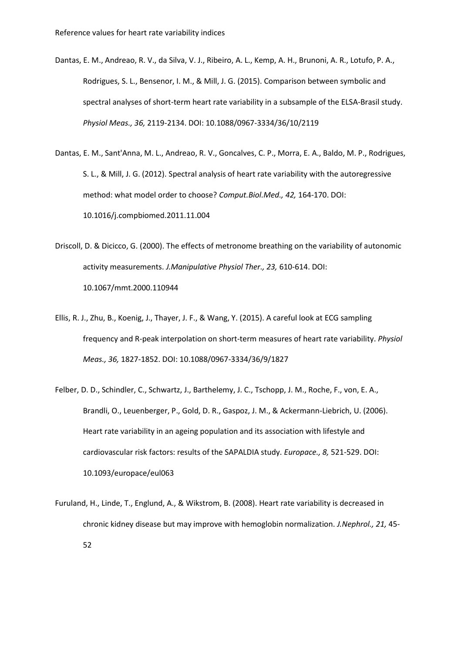- Dantas, E. M., Andreao, R. V., da Silva, V. J., Ribeiro, A. L., Kemp, A. H., Brunoni, A. R., Lotufo, P. A., Rodrigues, S. L., Bensenor, I. M., & Mill, J. G. (2015). Comparison between symbolic and spectral analyses of short-term heart rate variability in a subsample of the ELSA-Brasil study. *Physiol Meas., 36,* 2119-2134. DOI: 10.1088/0967-3334/36/10/2119
- Dantas, E. M., Sant'Anna, M. L., Andreao, R. V., Goncalves, C. P., Morra, E. A., Baldo, M. P., Rodrigues, S. L., & Mill, J. G. (2012). Spectral analysis of heart rate variability with the autoregressive method: what model order to choose? *Comput.Biol.Med., 42,* 164-170. DOI: 10.1016/j.compbiomed.2011.11.004
- Driscoll, D. & Dicicco, G. (2000). The effects of metronome breathing on the variability of autonomic activity measurements. *J.Manipulative Physiol Ther., 23,* 610-614. DOI: 10.1067/mmt.2000.110944
- Ellis, R. J., Zhu, B., Koenig, J., Thayer, J. F., & Wang, Y. (2015). A careful look at ECG sampling frequency and R-peak interpolation on short-term measures of heart rate variability. *Physiol Meas., 36,* 1827-1852. DOI: 10.1088/0967-3334/36/9/1827
- Felber, D. D., Schindler, C., Schwartz, J., Barthelemy, J. C., Tschopp, J. M., Roche, F., von, E. A., Brandli, O., Leuenberger, P., Gold, D. R., Gaspoz, J. M., & Ackermann-Liebrich, U. (2006). Heart rate variability in an ageing population and its association with lifestyle and cardiovascular risk factors: results of the SAPALDIA study. *Europace., 8,* 521-529. DOI: 10.1093/europace/eul063
- Furuland, H., Linde, T., Englund, A., & Wikstrom, B. (2008). Heart rate variability is decreased in chronic kidney disease but may improve with hemoglobin normalization. *J.Nephrol., 21,* 45- 52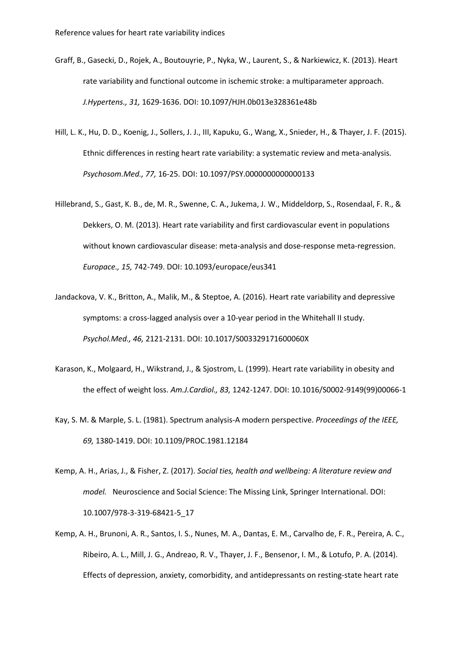- Graff, B., Gasecki, D., Rojek, A., Boutouyrie, P., Nyka, W., Laurent, S., & Narkiewicz, K. (2013). Heart rate variability and functional outcome in ischemic stroke: a multiparameter approach. *J.Hypertens., 31,* 1629-1636. DOI: 10.1097/HJH.0b013e328361e48b
- Hill, L. K., Hu, D. D., Koenig, J., Sollers, J. J., III, Kapuku, G., Wang, X., Snieder, H., & Thayer, J. F. (2015). Ethnic differences in resting heart rate variability: a systematic review and meta-analysis. *Psychosom.Med., 77,* 16-25. DOI: 10.1097/PSY.0000000000000133
- Hillebrand, S., Gast, K. B., de, M. R., Swenne, C. A., Jukema, J. W., Middeldorp, S., Rosendaal, F. R., & Dekkers, O. M. (2013). Heart rate variability and first cardiovascular event in populations without known cardiovascular disease: meta-analysis and dose-response meta-regression. *Europace., 15,* 742-749. DOI: 10.1093/europace/eus341
- Jandackova, V. K., Britton, A., Malik, M., & Steptoe, A. (2016). Heart rate variability and depressive symptoms: a cross-lagged analysis over a 10-year period in the Whitehall II study. *Psychol.Med., 46,* 2121-2131. DOI: 10.1017/S003329171600060X
- Karason, K., Molgaard, H., Wikstrand, J., & Sjostrom, L. (1999). Heart rate variability in obesity and the effect of weight loss. *Am.J.Cardiol., 83,* 1242-1247. DOI: 10.1016/S0002-9149(99)00066-1
- Kay, S. M. & Marple, S. L. (1981). Spectrum analysis-A modern perspective. *Proceedings of the IEEE, 69,* 1380-1419. DOI: 10.1109/PROC.1981.12184
- Kemp, A. H., Arias, J., & Fisher, Z. (2017). *Social ties, health and wellbeing: A literature review and model.* Neuroscience and Social Science: The Missing Link, Springer International. DOI: 10.1007/978-3-319-68421-5\_17
- Kemp, A. H., Brunoni, A. R., Santos, I. S., Nunes, M. A., Dantas, E. M., Carvalho de, F. R., Pereira, A. C., Ribeiro, A. L., Mill, J. G., Andreao, R. V., Thayer, J. F., Bensenor, I. M., & Lotufo, P. A. (2014). Effects of depression, anxiety, comorbidity, and antidepressants on resting-state heart rate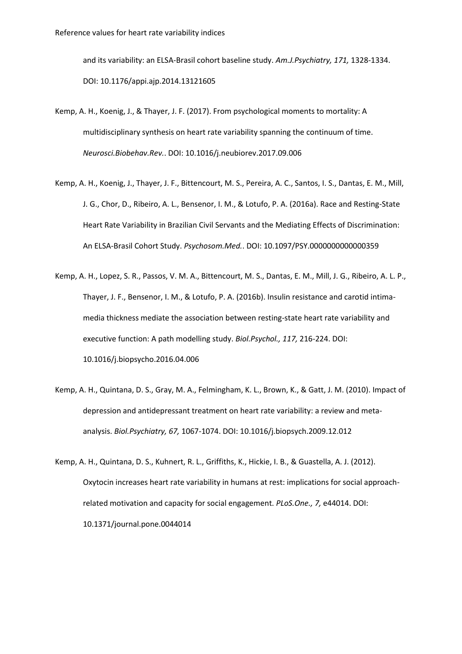and its variability: an ELSA-Brasil cohort baseline study. *Am.J.Psychiatry, 171,* 1328-1334. DOI: 10.1176/appi.ajp.2014.13121605

- Kemp, A. H., Koenig, J., & Thayer, J. F. (2017). From psychological moments to mortality: A multidisciplinary synthesis on heart rate variability spanning the continuum of time. *Neurosci.Biobehav.Rev.*. DOI: 10.1016/j.neubiorev.2017.09.006
- Kemp, A. H., Koenig, J., Thayer, J. F., Bittencourt, M. S., Pereira, A. C., Santos, I. S., Dantas, E. M., Mill, J. G., Chor, D., Ribeiro, A. L., Bensenor, I. M., & Lotufo, P. A. (2016a). Race and Resting-State Heart Rate Variability in Brazilian Civil Servants and the Mediating Effects of Discrimination: An ELSA-Brasil Cohort Study. *Psychosom.Med.*. DOI: 10.1097/PSY.0000000000000359
- Kemp, A. H., Lopez, S. R., Passos, V. M. A., Bittencourt, M. S., Dantas, E. M., Mill, J. G., Ribeiro, A. L. P., Thayer, J. F., Bensenor, I. M., & Lotufo, P. A. (2016b). Insulin resistance and carotid intimamedia thickness mediate the association between resting-state heart rate variability and executive function: A path modelling study. *Biol.Psychol., 117,* 216-224. DOI: 10.1016/j.biopsycho.2016.04.006
- Kemp, A. H., Quintana, D. S., Gray, M. A., Felmingham, K. L., Brown, K., & Gatt, J. M. (2010). Impact of depression and antidepressant treatment on heart rate variability: a review and metaanalysis. *Biol.Psychiatry, 67,* 1067-1074. DOI: 10.1016/j.biopsych.2009.12.012
- Kemp, A. H., Quintana, D. S., Kuhnert, R. L., Griffiths, K., Hickie, I. B., & Guastella, A. J. (2012). Oxytocin increases heart rate variability in humans at rest: implications for social approachrelated motivation and capacity for social engagement. *PLoS.One., 7,* e44014. DOI: 10.1371/journal.pone.0044014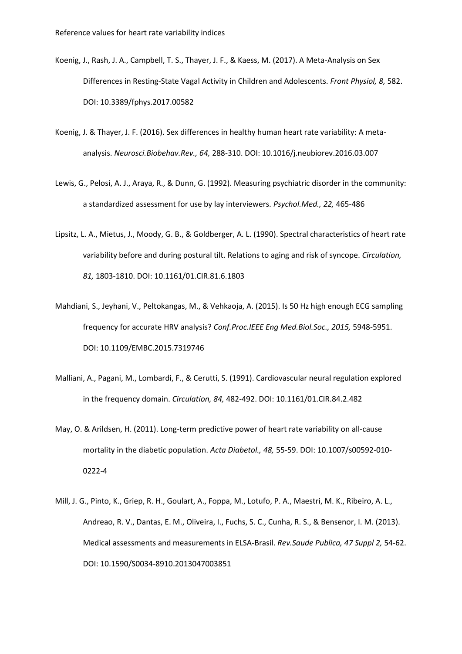- Koenig, J., Rash, J. A., Campbell, T. S., Thayer, J. F., & Kaess, M. (2017). A Meta-Analysis on Sex Differences in Resting-State Vagal Activity in Children and Adolescents. *Front Physiol, 8,* 582. DOI: 10.3389/fphys.2017.00582
- Koenig, J. & Thayer, J. F. (2016). Sex differences in healthy human heart rate variability: A metaanalysis. *Neurosci.Biobehav.Rev., 64,* 288-310. DOI: 10.1016/j.neubiorev.2016.03.007
- Lewis, G., Pelosi, A. J., Araya, R., & Dunn, G. (1992). Measuring psychiatric disorder in the community: a standardized assessment for use by lay interviewers. *Psychol.Med., 22,* 465-486
- Lipsitz, L. A., Mietus, J., Moody, G. B., & Goldberger, A. L. (1990). Spectral characteristics of heart rate variability before and during postural tilt. Relations to aging and risk of syncope. *Circulation, 81,* 1803-1810. DOI: 10.1161/01.CIR.81.6.1803
- Mahdiani, S., Jeyhani, V., Peltokangas, M., & Vehkaoja, A. (2015). Is 50 Hz high enough ECG sampling frequency for accurate HRV analysis? *Conf.Proc.IEEE Eng Med.Biol.Soc., 2015,* 5948-5951. DOI: 10.1109/EMBC.2015.7319746
- Malliani, A., Pagani, M., Lombardi, F., & Cerutti, S. (1991). Cardiovascular neural regulation explored in the frequency domain. *Circulation, 84,* 482-492. DOI: 10.1161/01.CIR.84.2.482
- May, O. & Arildsen, H. (2011). Long-term predictive power of heart rate variability on all-cause mortality in the diabetic population. *Acta Diabetol., 48,* 55-59. DOI: 10.1007/s00592-010- 0222-4
- Mill, J. G., Pinto, K., Griep, R. H., Goulart, A., Foppa, M., Lotufo, P. A., Maestri, M. K., Ribeiro, A. L., Andreao, R. V., Dantas, E. M., Oliveira, I., Fuchs, S. C., Cunha, R. S., & Bensenor, I. M. (2013). Medical assessments and measurements in ELSA-Brasil. *Rev.Saude Publica, 47 Suppl 2,* 54-62. DOI: 10.1590/S0034-8910.2013047003851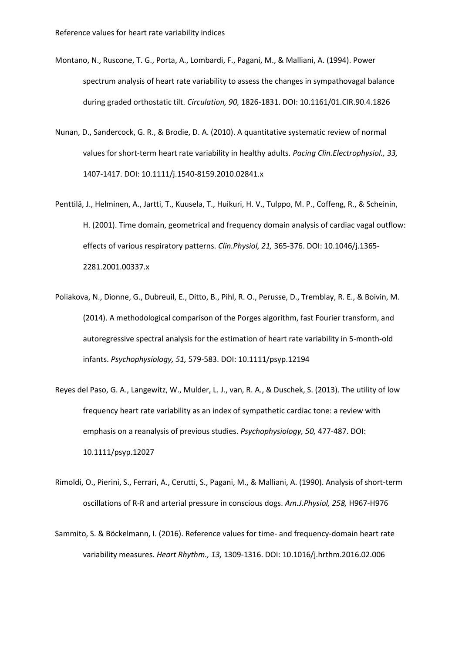- Montano, N., Ruscone, T. G., Porta, A., Lombardi, F., Pagani, M., & Malliani, A. (1994). Power spectrum analysis of heart rate variability to assess the changes in sympathovagal balance during graded orthostatic tilt. *Circulation, 90,* 1826-1831. DOI: 10.1161/01.CIR.90.4.1826
- Nunan, D., Sandercock, G. R., & Brodie, D. A. (2010). A quantitative systematic review of normal values for short-term heart rate variability in healthy adults. *Pacing Clin.Electrophysiol., 33,* 1407-1417. DOI: 10.1111/j.1540-8159.2010.02841.x
- Penttilä, J., Helminen, A., Jartti, T., Kuusela, T., Huikuri, H. V., Tulppo, M. P., Coffeng, R., & Scheinin, H. (2001). Time domain, geometrical and frequency domain analysis of cardiac vagal outflow: effects of various respiratory patterns. *Clin.Physiol, 21,* 365-376. DOI: 10.1046/j.1365- 2281.2001.00337.x
- Poliakova, N., Dionne, G., Dubreuil, E., Ditto, B., Pihl, R. O., Perusse, D., Tremblay, R. E., & Boivin, M. (2014). A methodological comparison of the Porges algorithm, fast Fourier transform, and autoregressive spectral analysis for the estimation of heart rate variability in 5-month-old infants. *Psychophysiology, 51,* 579-583. DOI: 10.1111/psyp.12194
- Reyes del Paso, G. A., Langewitz, W., Mulder, L. J., van, R. A., & Duschek, S. (2013). The utility of low frequency heart rate variability as an index of sympathetic cardiac tone: a review with emphasis on a reanalysis of previous studies. *Psychophysiology, 50,* 477-487. DOI: 10.1111/psyp.12027
- Rimoldi, O., Pierini, S., Ferrari, A., Cerutti, S., Pagani, M., & Malliani, A. (1990). Analysis of short-term oscillations of R-R and arterial pressure in conscious dogs. *Am.J.Physiol, 258,* H967-H976
- Sammito, S. & Böckelmann, I. (2016). Reference values for time- and frequency-domain heart rate variability measures. *Heart Rhythm., 13,* 1309-1316. DOI: 10.1016/j.hrthm.2016.02.006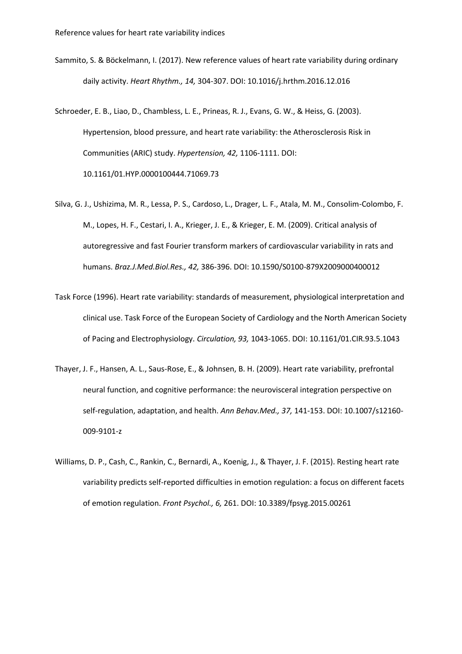- Sammito, S. & Böckelmann, I. (2017). New reference values of heart rate variability during ordinary daily activity. *Heart Rhythm., 14,* 304-307. DOI: 10.1016/j.hrthm.2016.12.016
- Schroeder, E. B., Liao, D., Chambless, L. E., Prineas, R. J., Evans, G. W., & Heiss, G. (2003). Hypertension, blood pressure, and heart rate variability: the Atherosclerosis Risk in Communities (ARIC) study. *Hypertension, 42,* 1106-1111. DOI: 10.1161/01.HYP.0000100444.71069.73
- Silva, G. J., Ushizima, M. R., Lessa, P. S., Cardoso, L., Drager, L. F., Atala, M. M., Consolim-Colombo, F. M., Lopes, H. F., Cestari, I. A., Krieger, J. E., & Krieger, E. M. (2009). Critical analysis of autoregressive and fast Fourier transform markers of cardiovascular variability in rats and humans. *Braz.J.Med.Biol.Res., 42,* 386-396. DOI: 10.1590/S0100-879X2009000400012
- Task Force (1996). Heart rate variability: standards of measurement, physiological interpretation and clinical use. Task Force of the European Society of Cardiology and the North American Society of Pacing and Electrophysiology. *Circulation, 93,* 1043-1065. DOI: 10.1161/01.CIR.93.5.1043
- Thayer, J. F., Hansen, A. L., Saus-Rose, E., & Johnsen, B. H. (2009). Heart rate variability, prefrontal neural function, and cognitive performance: the neurovisceral integration perspective on self-regulation, adaptation, and health. *Ann Behav.Med., 37,* 141-153. DOI: 10.1007/s12160- 009-9101-z
- Williams, D. P., Cash, C., Rankin, C., Bernardi, A., Koenig, J., & Thayer, J. F. (2015). Resting heart rate variability predicts self-reported difficulties in emotion regulation: a focus on different facets of emotion regulation. *Front Psychol., 6,* 261. DOI: 10.3389/fpsyg.2015.00261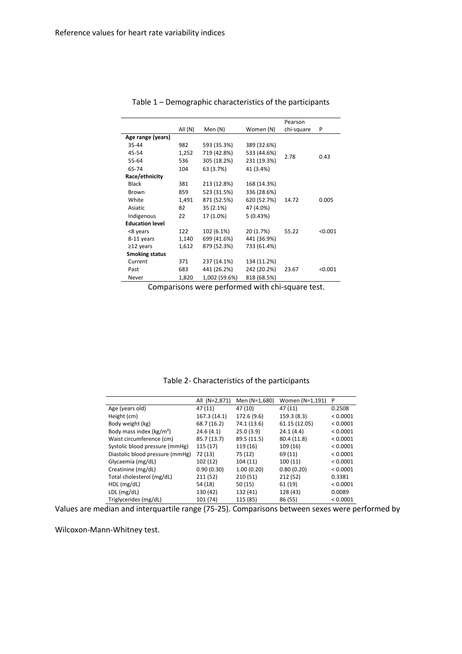|                        |         |                            |             | Pearson    |         |
|------------------------|---------|----------------------------|-------------|------------|---------|
|                        | All (N) | Men (N)                    | Women (N)   | chi-square | P       |
| Age range (years)      |         |                            |             |            |         |
| 35-44                  | 982     | 593 (35.3%)                | 389 (32.6%) |            |         |
| 45-54                  | 1,252   | 719 (42.8%)                | 533 (44.6%) | 2.78       | 0.43    |
| 55-64                  | 536     | 305 (18.2%)<br>231 (19.3%) |             |            |         |
| 65-74                  | 104     | 63 (3.7%)                  | 41 (3.4%)   |            |         |
| Race/ethnicity         |         |                            |             |            |         |
| <b>Black</b>           | 381     | 213 (12.8%)                | 168 (14.3%) |            |         |
| Brown                  | 859     | 523 (31.5%)                | 336 (28.6%) |            |         |
| White                  | 1,491   | 871 (52.5%)                | 620 (52.7%) | 14.72      | 0.005   |
| Asiatic                | 82      | 35 (2.1%)                  | 47 (4.0%)   |            |         |
| Indigenous             | 22      | 17 (1.0%)                  | 5(0.43%)    |            |         |
| <b>Education level</b> |         |                            |             |            |         |
| <8 years               | 122     | 102 (6.1%)                 | 20 (1.7%)   | 55.22      | < 0.001 |
| 8-11 years             | 1,140   | 699 (41.6%)                | 441 (36.9%) |            |         |
| $\geq$ 12 years        | 1,612   | 879 (52.3%)                | 733 (61.4%) |            |         |
| <b>Smoking status</b>  |         |                            |             |            |         |
| Current                | 371     | 237 (14.1%)                | 134 (11.2%) |            |         |
| Past                   | 683     | 441 (26.2%)                | 242 (20.2%) | 23.67      | < 0.001 |
| Never                  | 1,820   | 1,002 (59.6%)              | 818 (68.5%) |            |         |

Table 1 – Demographic characteristics of the participants

Comparisons were performed with chi-square test.

## Table 2- Characteristics of the participants

|                                 | All (N=2,871) | Men (N=1,680) | Women (N=1,191) | P        |
|---------------------------------|---------------|---------------|-----------------|----------|
| Age (years old)                 | 47 (11)       | 47 (10)       | 47 (11)         | 0.2508   |
| Height (cm)                     | 167.3 (14.1)  | 172.6 (9.6)   | 159.3(8.3)      | < 0.0001 |
| Body weight (kg)                | 68.7 (16.2)   | 74.1 (13.6)   | 61.15 (12.05)   | < 0.0001 |
| Body mass index ( $kg/m2$ )     | 24.6(4.1)     | 25.0(3.9)     | 24.1(4.4)       | < 0.0001 |
| Waist circumference (cm)        | 85.7 (13.7)   | 89.5 (11.5)   | 80.4 (11.8)     | < 0.0001 |
| Systolic blood pressure (mmHg)  | 115(17)       | 119 (16)      | 109 (16)        | < 0.0001 |
| Diastolic blood pressure (mmHg) | 72 (13)       | 75 (12)       | 69 (11)         | < 0.0001 |
| Glycaemia (mg/dL)               | 102 (12)      | 104 (11)      | 100(11)         | < 0.0001 |
| Creatinine (mg/dL)              | 0.90(0.30)    | 1.00(0.20)    | 0.80(0.20)      | < 0.0001 |
| Total cholesterol (mg/dL)       | 211 (52)      | 210 (51)      | 212 (52)        | 0.3381   |
| HDL(mg/dL)                      | 54 (18)       | 50(15)        | 61 (19)         | < 0.0001 |
| $LDL$ (mg/dL)                   | 130 (42)      | 132 (41)      | 128 (43)        | 0.0089   |
| Triglycerides (mg/dL)           | 101 (74)      | 115 (85)      | 86 (55)         | < 0.0001 |

Values are median and interquartile range (75-25). Comparisons between sexes were performed by

Wilcoxon-Mann-Whitney test.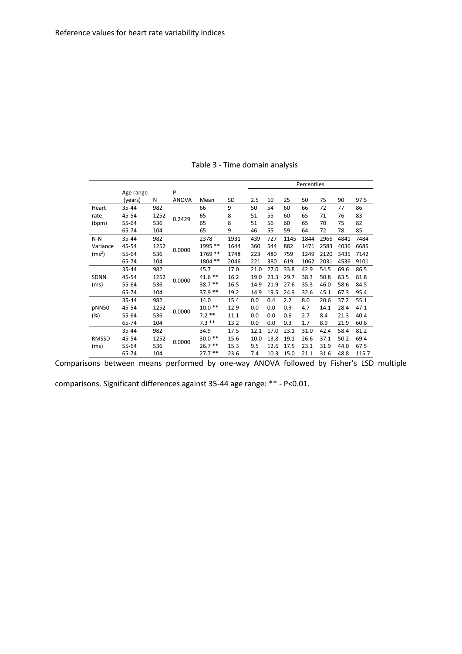|                    |           |      |              |           |      | Percentiles |      |      |      |      |      |       |
|--------------------|-----------|------|--------------|-----------|------|-------------|------|------|------|------|------|-------|
|                    | Age range |      | P            |           |      |             |      |      |      |      |      |       |
|                    | (years)   | N    | <b>ANOVA</b> | Mean      | SD   | 2.5         | 10   | 25   | 50   | 75   | 90   | 97.5  |
| Heart              | 35-44     | 982  |              | 66        | 9    | 50          | 54   | 60   | 66   | 72   | 77   | 86    |
| rate               | 45-54     | 1252 | 0.2429       | 65        | 8    | 51          | 55   | 60   | 65   | 71   | 76   | 83    |
| (bpm)              | 55-64     | 536  |              | 65        | 8    | 51          | 56   | 60   | 65   | 70   | 75   | 82    |
|                    | 65-74     | 104  |              | 65        | 9    | 46          | 55   | 59   | 64   | 72   | 78   | 85    |
| $N-N$              | 35-44     | 982  |              | 2378      | 1931 | 439         | 727  | 1145 | 1844 | 2966 | 4841 | 7484  |
| Variance           | 45-54     | 1252 | 0.0000       | 1995 **   | 1644 | 360         | 544  | 882  | 1471 | 2583 | 4036 | 6685  |
| (ms <sup>2</sup> ) | 55-64     | 536  |              | 1769 **   | 1748 | 223         | 480  | 759  | 1249 | 2120 | 3435 | 7142  |
|                    | 65-74     | 104  |              | 1804 **   | 2046 | 221         | 380  | 619  | 1062 | 2031 | 4536 | 9101  |
|                    | 35-44     | 982  |              | 45.7      | 17.0 | 21.0        | 27.0 | 33.8 | 42.9 | 54.5 | 69.6 | 86.5  |
| <b>SDNN</b>        | 45-54     | 1252 | 0.0000       | $41.6***$ | 16.2 | 19.0        | 23.3 | 29.7 | 38.3 | 50.8 | 63.5 | 81.8  |
| (ms)               | 55-64     | 536  |              | $38.7**$  | 16.5 | 14.9        | 21.9 | 27.6 | 35.3 | 46.0 | 58.6 | 84.5  |
|                    | 65-74     | 104  |              | $37.9**$  | 19.2 | 14.9        | 19.5 | 24.9 | 32.6 | 45.1 | 67.3 | 95.4  |
|                    | 35-44     | 982  |              | 14.0      | 15.4 | 0.0         | 0.4  | 2.2  | 8.0  | 20.6 | 37.2 | 55.1  |
| pNN50              | 45-54     | 1252 | 0.0000       | $10.0**$  | 12.9 | 0.0         | 0.0  | 0.9  | 4.7  | 14.1 | 28.4 | 47.1  |
| (%)                | 55-64     | 536  |              | $7.2**$   | 11.1 | 0.0         | 0.0  | 0.6  | 2.7  | 8.4  | 21.3 | 40.4  |
|                    | 65-74     | 104  |              | $7.3***$  | 13.2 | 0.0         | 0.0  | 0.3  | 1.7  | 8.9  | 21.9 | 60.6  |
|                    | 35-44     | 982  |              | 34.9      | 17.5 | 12.1        | 17.0 | 23.1 | 31.0 | 42.4 | 58.4 | 81.2  |
| <b>RMSSD</b>       | 45-54     | 1252 |              | $30.0**$  | 15.6 | 10.0        | 13.8 | 19.1 | 26.6 | 37.1 | 50.2 | 69.4  |
| (ms)               | 55-64     | 536  | 0.0000       | $26.7**$  | 15.3 | 9.5         | 12.6 | 17.5 | 23.1 | 31.9 | 44.0 | 67.5  |
|                    | 65-74     | 104  |              | $27.7**$  | 23.6 | 7.4         | 10.3 | 15.0 | 21.1 | 31.6 | 48.8 | 115.7 |

Table 3 - Time domain analysis

Comparisons between means performed by one-way ANOVA followed by Fisher's LSD multiple

comparisons. Significant differences against 35-44 age range: \*\* - P<0.01.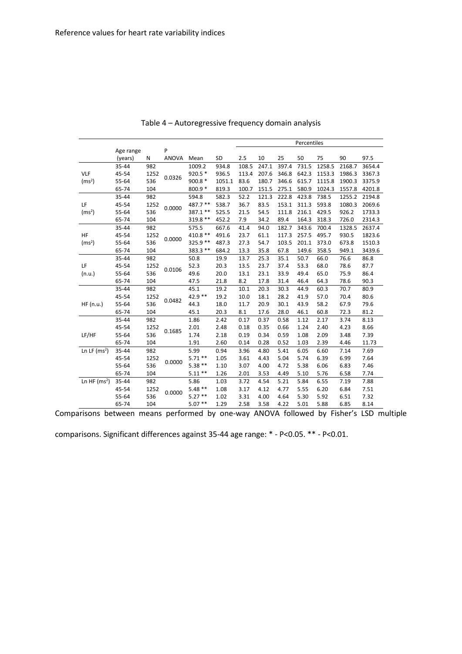|                    |           |        |              |           |           | Percentiles |       |       |       |        |        |        |
|--------------------|-----------|--------|--------------|-----------|-----------|-------------|-------|-------|-------|--------|--------|--------|
|                    | Age range |        | P            |           |           |             |       |       |       |        |        |        |
|                    | (years)   | N      | <b>ANOVA</b> | Mean      | <b>SD</b> | 2.5         | 10    | 25    | 50    | 75     | 90     | 97.5   |
|                    | 35-44     | 982    |              | 1009.2    | 934.8     | 108.5       | 247.1 | 397.4 | 731.5 | 1258.5 | 2168.7 | 3654.4 |
| <b>VLF</b>         | 45-54     | 1252   | 0.0326       | 920.5 *   | 936.5     | 113.4       | 207.6 | 346.8 | 642.3 | 1153.3 | 1986.3 | 3367.3 |
| (ms <sup>2</sup> ) | 55-64     | 536    |              | 900.8 *   | 1051.1    | 83.6        | 180.7 | 346.6 | 615.7 | 1115.8 | 1900.3 | 3375.9 |
|                    | 65-74     | 104    |              | 800.9 *   | 819.3     | 100.7       | 151.5 | 275.1 | 580.9 | 1024.3 | 1557.8 | 4201.8 |
|                    | 35-44     | 982    |              | 594.8     | 582.3     | 52.2        | 121.3 | 222.8 | 423.8 | 738.5  | 1255.2 | 2194.8 |
| LF                 | 45-54     | 1252   | 0.0000       | 487.7 **  | 538.7     | 36.7        | 83.5  | 153.1 | 311.3 | 593.8  | 1080.3 | 2069.6 |
| (ms <sup>2</sup> ) | 55-64     | 536    |              | 387.1 **  | 525.5     | 21.5        | 54.5  | 111.8 | 216.1 | 429.5  | 926.2  | 1733.3 |
|                    | 65-74     | 104    |              | 319.8 **  | 452.2     | 7.9         | 34.2  | 89.4  | 164.3 | 318.3  | 726.0  | 2314.3 |
|                    | 35-44     | 982    |              | 575.5     | 667.6     | 41.4        | 94.0  | 182.7 | 343.6 | 700.4  | 1328.5 | 2637.4 |
| HF                 | 45-54     | 1252   | 0.0000       | $410.8**$ | 491.6     | 23.7        | 61.1  | 117.3 | 257.5 | 495.7  | 930.5  | 1823.6 |
| (ms <sup>2</sup> ) | 55-64     | 536    |              | 325.9 **  | 487.3     | 27.3        | 54.7  | 103.5 | 201.1 | 373.0  | 673.8  | 1510.3 |
|                    | 65-74     | 104    |              | 383.3 **  | 684.2     | 13.3        | 35.8  | 67.8  | 149.6 | 358.5  | 949.1  | 3439.6 |
|                    | 35-44     | 982    |              | 50.8      | 19.9      | 13.7        | 25.3  | 35.1  | 50.7  | 66.0   | 76.6   | 86.8   |
| LF                 | 45-54     | 1252   | 0.0106       | 52.3      | 20.3      | 13.5        | 23.7  | 37.4  | 53.3  | 68.0   | 78.6   | 87.7   |
| (n.u.)             | 55-64     | 536    |              | 49.6      | 20.0      | 13.1        | 23.1  | 33.9  | 49.4  | 65.0   | 75.9   | 86.4   |
|                    | 65-74     | 104    |              | 47.5      | 21.8      | 8.2         | 17.8  | 31.4  | 46.4  | 64.3   | 78.6   | 90.3   |
|                    | 35-44     | 982    |              | 45.1      | 19.2      | 10.1        | 20.3  | 30.3  | 44.9  | 60.3   | 70.7   | 80.9   |
| 45-54              | 1252      | 0.0482 | 42.9 **      | 19.2      | 10.0      | 18.1        | 28.2  | 41.9  | 57.0  | 70.4   | 80.6   |        |
| HF(n.u.)           | 55-64     | 536    |              | 44.3      | 18.0      | 11.7        | 20.9  | 30.1  | 43.9  | 58.2   | 67.9   | 79.6   |
|                    | 65-74     | 104    |              | 45.1      | 20.3      | 8.1         | 17.6  | 28.0  | 46.1  | 60.8   | 72.3   | 81.2   |
|                    | 35-44     | 982    |              | 1.86      | 2.42      | 0.17        | 0.37  | 0.58  | 1.12  | 2.17   | 3.74   | 8.13   |
|                    | 45-54     | 1252   | 0.1685       | 2.01      | 2.48      | 0.18        | 0.35  | 0.66  | 1.24  | 2.40   | 4.23   | 8.66   |
| LF/HF              | 55-64     | 536    |              | 1.74      | 2.18      | 0.19        | 0.34  | 0.59  | 1.08  | 2.09   | 3.48   | 7.39   |
|                    | 65-74     | 104    |              | 1.91      | 2.60      | 0.14        | 0.28  | 0.52  | 1.03  | 2.39   | 4.46   | 11.73  |
| Ln LF $(ms2)$      | 35-44     | 982    |              | 5.99      | 0.94      | 3.96        | 4.80  | 5.41  | 6.05  | 6.60   | 7.14   | 7.69   |
|                    | 45-54     | 1252   | 0.0000       | $5.71**$  | 1.05      | 3.61        | 4.43  | 5.04  | 5.74  | 6.39   | 6.99   | 7.64   |
|                    | 55-64     | 536    |              | $5.38**$  | 1.10      | 3.07        | 4.00  | 4.72  | 5.38  | 6.06   | 6.83   | 7.46   |
|                    | 65-74     | 104    |              | $5.11**$  | 1.26      | 2.01        | 3.53  | 4.49  | 5.10  | 5.76   | 6.58   | 7.74   |
| Ln HF $(ms2)$      | 35-44     | 982    | 0.0000       | 5.86      | 1.03      | 3.72        | 4.54  | 5.21  | 5.84  | 6.55   | 7.19   | 7.88   |
|                    | 45-54     | 1252   |              | $5.48**$  | 1.08      | 3.17        | 4.12  | 4.77  | 5.55  | 6.20   | 6.84   | 7.51   |
|                    | 55-64     | 536    |              | $5.27**$  | 1.02      | 3.31        | 4.00  | 4.64  | 5.30  | 5.92   | 6.51   | 7.32   |
|                    | 65-74     | 104    |              | $5.07**$  | 1.29      | 2.58        | 3.58  | 4.22  | 5.01  | 5.88   | 6.85   | 8.14   |

Table 4 – Autoregressive frequency domain analysis

Comparisons between means performed by one-way ANOVA followed by Fisher's LSD multiple

comparisons. Significant differences against 35-44 age range: \* - P<0.05. \*\* - P<0.01.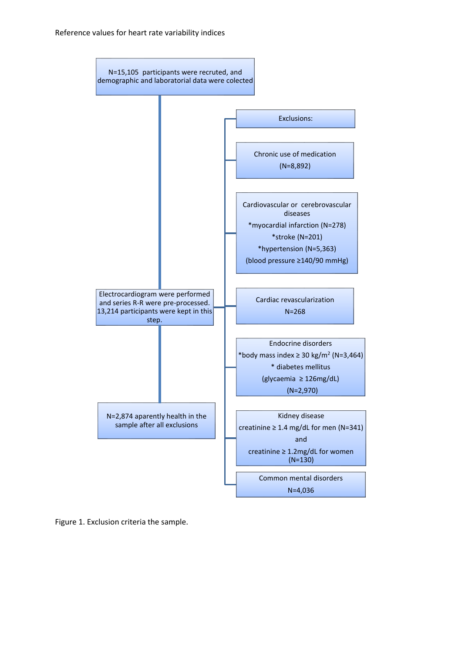

Figure 1. Exclusion criteria the sample.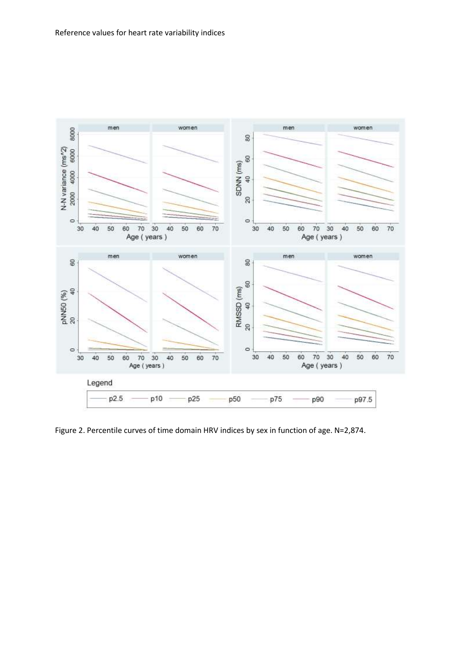

Figure 2. Percentile curves of time domain HRV indices by sex in function of age. N=2,874.